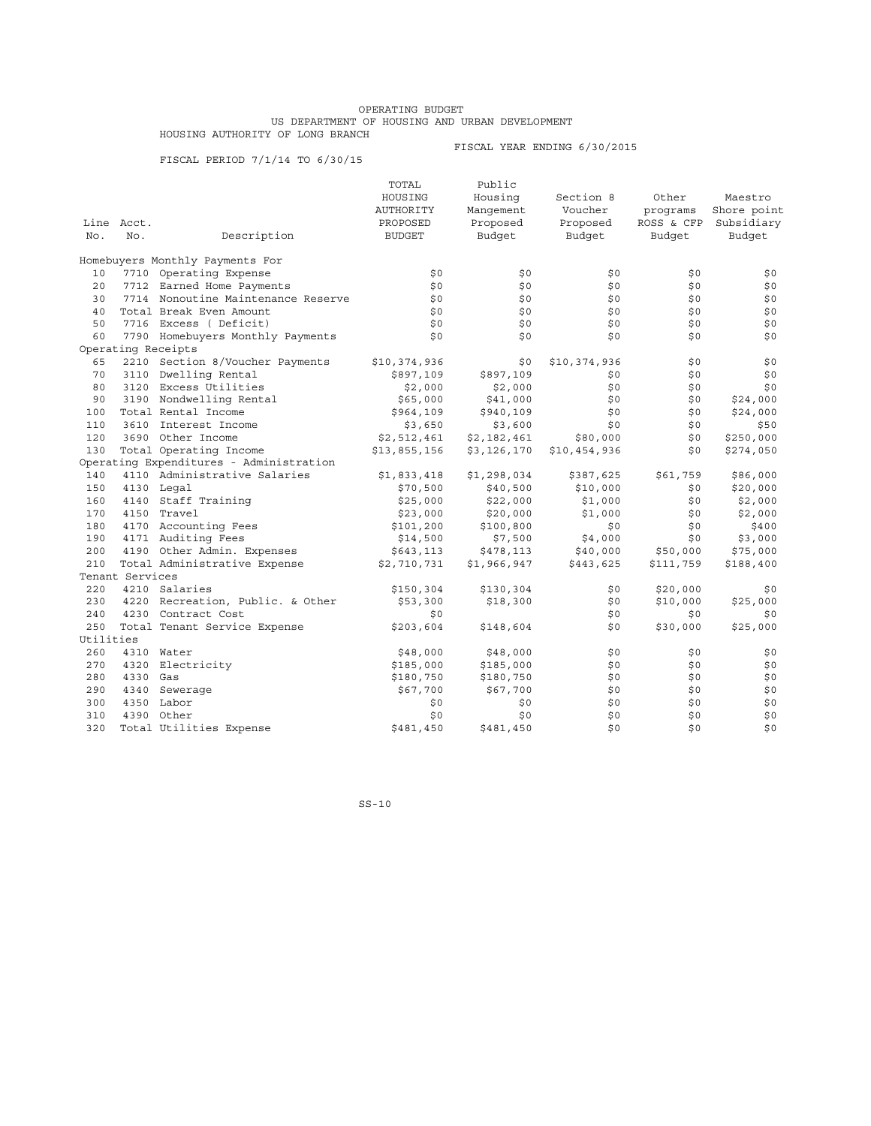## OPERATING BUDGET US DEPARTMENT OF HOUSING AND URBAN DEVELOPMENT HOUSING AUTHORITY OF LONG BRANCH

FISCAL PERIOD 7/1/14 TO 6/30/15

FISCAL YEAR ENDING 6/30/2015

|           |                 |                                         | TOTAL         | Public      |              |            |             |
|-----------|-----------------|-----------------------------------------|---------------|-------------|--------------|------------|-------------|
|           |                 |                                         | HOUSING       | Housing     | Section 8    | Other      | Maestro     |
|           |                 |                                         | AUTHORITY     | Manqement   | Voucher      | programs   | Shore point |
|           | Line Acct.      |                                         | PROPOSED      | Proposed    | Proposed     | ROSS & CFP | Subsidiary  |
| No.       | No.             | Description                             | <b>BUDGET</b> | Budget      | Budget       | Budget     | Budget      |
|           |                 | Homebuyers Monthly Payments For         |               |             |              |            |             |
| 10        |                 | 7710 Operating Expense                  | \$0           | \$0         | \$0          | \$0        | \$0         |
| 20        |                 | 7712 Earned Home Payments               | \$0           | \$0         | \$0          | \$0        | \$0         |
| 30        |                 | 7714 Nonoutine Maintenance Reserve      | \$0           | \$0         | \$0          | \$0        | \$0         |
| 40        |                 | Total Break Even Amount                 | \$0           | \$0         | \$0          | \$0        | \$0         |
| 50        |                 | 7716 Excess (Deficit)                   | \$0           | \$0         | \$0          | \$0        | \$0         |
| 60        |                 | 7790 Homebuyers Monthly Payments        | \$0           | \$0         | \$0          | \$0        | \$0         |
|           |                 | Operating Receipts                      |               |             |              |            |             |
| 65        |                 | 2210 Section 8/Voucher Payments         | \$10,374,936  | \$0         | \$10,374,936 | \$0        | \$0         |
| 70        |                 | 3110 Dwelling Rental                    | \$897,109     | \$897,109   | \$0          | \$0        | \$0         |
| 80        |                 | 3120 Excess Utilities                   | \$2,000       | \$2,000     | \$0          | \$0        | \$0         |
| 90        |                 | 3190 Nondwelling Rental                 | \$65,000      | \$41,000    | \$0          | \$0        | \$24,000    |
| 100       |                 | Total Rental Income                     | \$964,109     | \$940,109   | \$0          | \$0        | \$24,000    |
| 110       |                 | 3610 Interest Income                    | \$3,650       | \$3,600     | \$0          | \$0        | \$50        |
| 120       |                 | 3690 Other Income                       | \$2,512,461   | \$2,182,461 | \$80,000     | \$0        | \$250,000   |
| 130       |                 | Total Operating Income                  | \$13,855,156  | \$3,126,170 | \$10,454,936 | \$0        | \$274,050   |
|           |                 | Operating Expenditures - Administration |               |             |              |            |             |
| 140       |                 | 4110 Administrative Salaries            | \$1,833,418   | \$1,298,034 | \$387,625    | \$61,759   | \$86,000    |
| 150       |                 | 4130 Legal                              | \$70,500      | \$40,500    | \$10,000     | \$0        | \$20,000    |
| 160       |                 | 4140 Staff Training                     | \$25,000      | \$22,000    | \$1,000      | \$0        | \$2,000     |
| 170       |                 | 4150 Travel                             | \$23,000      | \$20,000    | \$1,000      | \$0        | \$2,000     |
| 180       |                 | 4170 Accounting Fees                    | \$101,200     | \$100,800   | \$0          | \$0        | \$400       |
| 190       |                 | 4171 Auditing Fees                      | \$14,500      | \$7,500     | \$4,000      | \$0        | \$3,000     |
| 200       |                 | 4190 Other Admin. Expenses              | \$643,113     | \$478,113   | \$40,000     | \$50,000   | \$75,000    |
| 210       |                 | Total Administrative Expense            | \$2,710,731   | \$1,966,947 | \$443,625    | \$111,759  | \$188,400   |
|           | Tenant Services |                                         |               |             |              |            |             |
| 220       |                 | 4210 Salaries                           | \$150,304     | \$130,304   | \$0          | \$20,000   | \$0         |
| 230       |                 | 4220 Recreation, Public. & Other        | \$53,300      | \$18,300    | \$0          | \$10,000   | \$25,000    |
| 240       |                 | 4230 Contract Cost                      | \$0           |             | \$0          | \$0        | \$0         |
| 250       |                 | Total Tenant Service Expense            | \$203,604     | \$148,604   | \$0          | \$30,000   | \$25,000    |
| Utilities |                 |                                         |               |             |              |            |             |
| 260       |                 | 4310 Water                              | \$48,000      | \$48,000    | \$0          | \$0        | \$0         |
| 270       | 4320            | Electricity                             | \$185,000     | \$185,000   | \$0          | \$0        | \$0         |
| 280       | 4330 Gas        |                                         | \$180,750     | \$180,750   | \$0          | \$0        | \$0         |
| 290       |                 | 4340 Sewerage                           | \$67,700      | \$67,700    | \$0          | \$0        | \$0         |
| 300       |                 | 4350 Labor                              | \$0           | \$0         | \$0          | \$0        | \$0         |
| 310       |                 | 4390 Other                              | \$0           | \$0         | \$0          | \$0        | \$0         |
| 320       |                 | Total Utilities Expense                 | \$481,450     | \$481,450   | \$0          | \$0        | \$0         |

SS-10